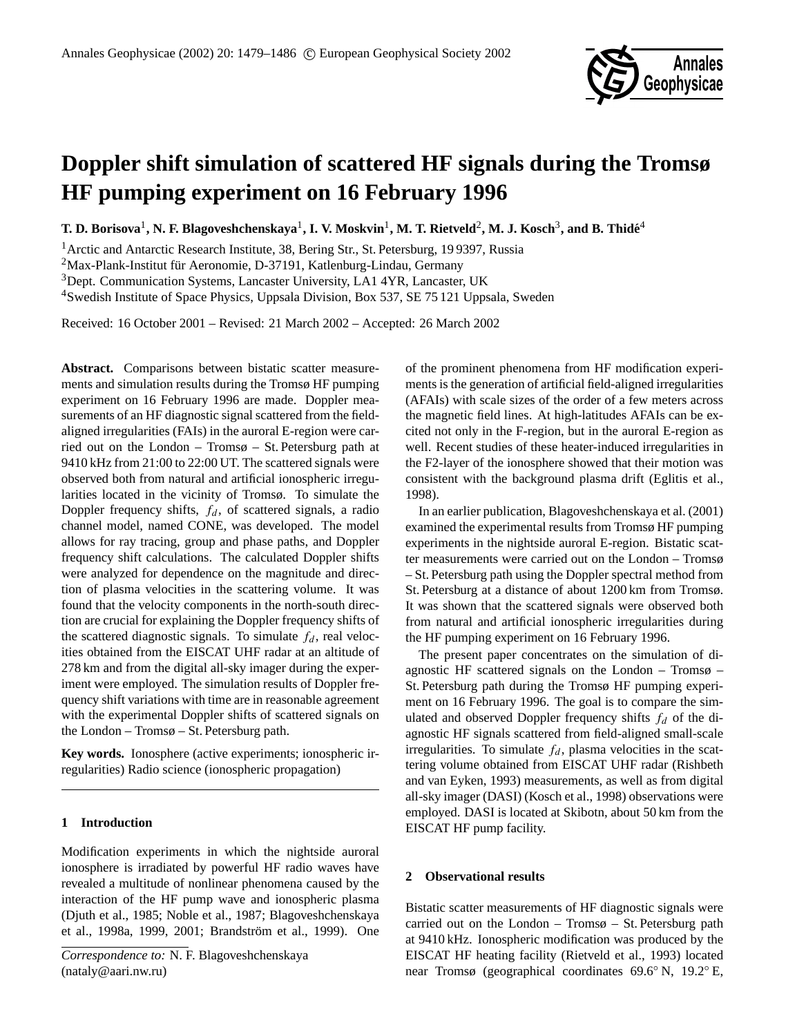

# **Doppler shift simulation of scattered HF signals during the Tromsø HF pumping experiment on 16 February 1996**

 $\bf{T. D. Borisova<sup>1</sup>, N. F. Blagoveshchenskaya<sup>1</sup>, I. V. Moskvin<sup>1</sup>, M. T. Rietveld<sup>2</sup>, M. J. Kosch<sup>3</sup>, and B. Thidé<sup>4</sup>$ 

<sup>1</sup> Arctic and Antarctic Research Institute, 38, Bering Str., St. Petersburg, 19 9397, Russia

<sup>2</sup>Max-Plank-Institut für Aeronomie, D-37191, Katlenburg-Lindau, Germany

<sup>3</sup>Dept. Communication Systems, Lancaster University, LA1 4YR, Lancaster, UK

<sup>4</sup>Swedish Institute of Space Physics, Uppsala Division, Box 537, SE 75 121 Uppsala, Sweden

Received: 16 October 2001 – Revised: 21 March 2002 – Accepted: 26 March 2002

Abstract. Comparisons between bistatic scatter measurements and simulation results during the Tromsø HF pumping experiment on 16 February 1996 are made. Doppler measurements of an HF diagnostic signal scattered from the fieldaligned irregularities (FAIs) in the auroral E-region were carried out on the London – Tromsø – St. Petersburg path at 9410 kHz from 21:00 to 22:00 UT. The scattered signals were observed both from natural and artificial ionospheric irregularities located in the vicinity of Tromsø. To simulate the Doppler frequency shifts,  $f_d$ , of scattered signals, a radio channel model, named CONE, was developed. The model allows for ray tracing, group and phase paths, and Doppler frequency shift calculations. The calculated Doppler shifts were analyzed for dependence on the magnitude and direction of plasma velocities in the scattering volume. It was found that the velocity components in the north-south direction are crucial for explaining the Doppler frequency shifts of the scattered diagnostic signals. To simulate  $f_d$ , real velocities obtained from the EISCAT UHF radar at an altitude of 278 km and from the digital all-sky imager during the experiment were employed. The simulation results of Doppler frequency shift variations with time are in reasonable agreement with the experimental Doppler shifts of scattered signals on the London – Tromsø – St. Petersburg path.

**Key words.** Ionosphere (active experiments; ionospheric irregularities) Radio science (ionospheric propagation)

## **1 Introduction**

Modification experiments in which the nightside auroral ionosphere is irradiated by powerful HF radio waves have revealed a multitude of nonlinear phenomena caused by the interaction of the HF pump wave and ionospheric plasma (Djuth et al., 1985; Noble et al., 1987; Blagoveshchenskaya et al., 1998a, 1999, 2001; Brandström et al., 1999). One of the prominent phenomena from HF modification experiments is the generation of artificial field-aligned irregularities (AFAIs) with scale sizes of the order of a few meters across the magnetic field lines. At high-latitudes AFAIs can be excited not only in the F-region, but in the auroral E-region as well. Recent studies of these heater-induced irregularities in the F2-layer of the ionosphere showed that their motion was consistent with the background plasma drift (Eglitis et al., 1998).

In an earlier publication, Blagoveshchenskaya et al. (2001) examined the experimental results from Tromsø HF pumping experiments in the nightside auroral E-region. Bistatic scatter measurements were carried out on the London – Tromsø – St. Petersburg path using the Doppler spectral method from St. Petersburg at a distance of about 1200 km from Tromsø. It was shown that the scattered signals were observed both from natural and artificial ionospheric irregularities during the HF pumping experiment on 16 February 1996.

The present paper concentrates on the simulation of diagnostic HF scattered signals on the London – Tromsø – St. Petersburg path during the Tromsø HF pumping experiment on 16 February 1996. The goal is to compare the simulated and observed Doppler frequency shifts  $f_d$  of the diagnostic HF signals scattered from field-aligned small-scale irregularities. To simulate  $f_d$ , plasma velocities in the scattering volume obtained from EISCAT UHF radar (Rishbeth and van Eyken, 1993) measurements, as well as from digital all-sky imager (DASI) (Kosch et al., 1998) observations were employed. DASI is located at Skibotn, about 50 km from the EISCAT HF pump facility.

## **2 Observational results**

Bistatic scatter measurements of HF diagnostic signals were carried out on the London – Tromsø – St. Petersburg path at 9410 kHz. Ionospheric modification was produced by the EISCAT HF heating facility (Rietveld et al., 1993) located near Tromsø (geographical coordinates 69.6◦ N, 19.2◦ E,

*Correspondence to:* N. F. Blagoveshchenskaya (nataly@aari.nw.ru)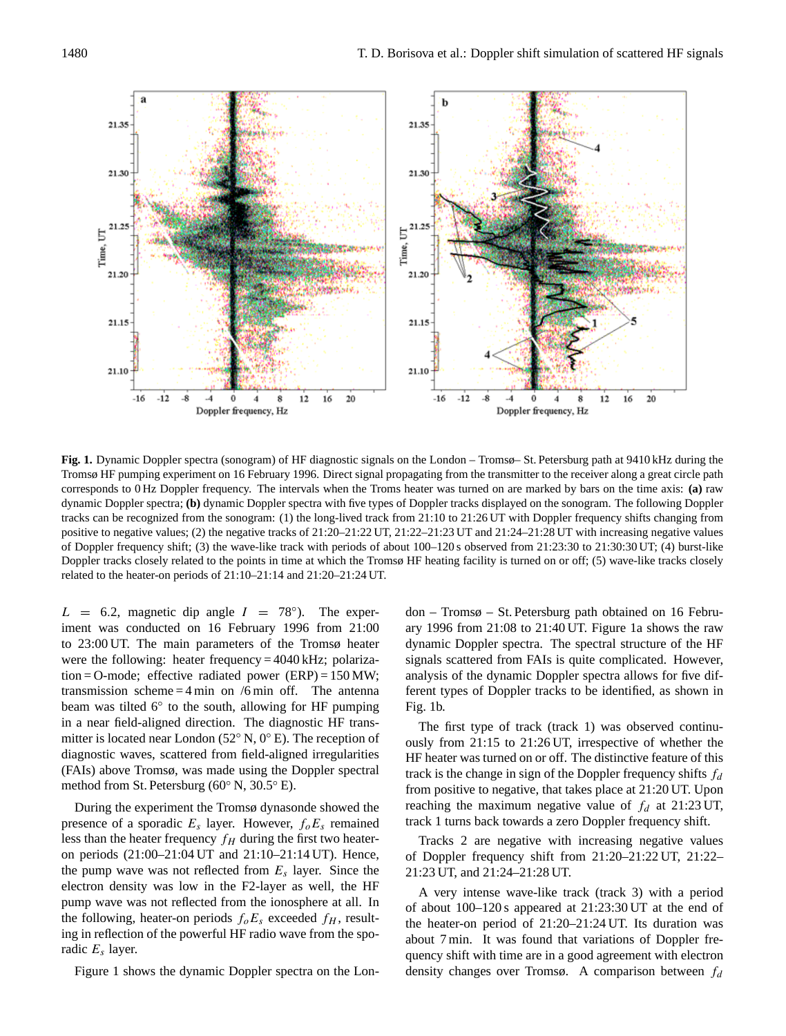

**Fig. 1.** Dynamic Doppler spectra (sonogram) of HF diagnostic signals on the London – Tromsø– St. Petersburg path at 9410 kHz during the Tromsø HF pumping experiment on 16 February 1996. Direct signal propagating from the transmitter to the receiver along a great circle path corresponds to 0 Hz Doppler frequency. The intervals when the Troms heater was turned on are marked by bars on the time axis: **(a)** raw dynamic Doppler spectra; **(b)** dynamic Doppler spectra with five types of Doppler tracks displayed on the sonogram. The following Doppler tracks can be recognized from the sonogram: (1) the long-lived track from 21:10 to 21:26 UT with Doppler frequency shifts changing from positive to negative values; (2) the negative tracks of 21:20–21:22 UT, 21:22–21:23 UT and 21:24–21:28 UT with increasing negative values of Doppler frequency shift; (3) the wave-like track with periods of about 100–120 s observed from 21:23:30 to 21:30:30 UT; (4) burst-like Doppler tracks closely related to the points in time at which the Tromsø HF heating facility is turned on or off; (5) wave-like tracks closely related to the heater-on periods of 21:10–21:14 and 21:20–21:24 UT.

 $L = 6.2$ , magnetic dip angle  $I = 78^{\circ}$ ). The experiment was conducted on 16 February 1996 from 21:00 to 23:00 UT. The main parameters of the Tromsø heater were the following: heater frequency  $= 4040 \text{ kHz}$ ; polarization = O-mode; effective radiated power  $(ERP) = 150 MW;$ transmission scheme  $=$  4 min on /6 min off. The antenna beam was tilted 6° to the south, allowing for HF pumping in a near field-aligned direction. The diagnostic HF transmitter is located near London (52◦ N, 0◦ E). The reception of diagnostic waves, scattered from field-aligned irregularities (FAIs) above Tromsø, was made using the Doppler spectral method from St. Petersburg (60◦ N, 30.5◦ E).

During the experiment the Tromsø dynasonde showed the presence of a sporadic  $E_s$  layer. However,  $f_oE_s$  remained less than the heater frequency  $f_H$  during the first two heateron periods (21:00–21:04 UT and 21:10–21:14 UT). Hence, the pump wave was not reflected from  $E_s$  layer. Since the electron density was low in the F2-layer as well, the HF pump wave was not reflected from the ionosphere at all. In the following, heater-on periods  $f_{o}E_{s}$  exceeded  $f_{H}$ , resulting in reflection of the powerful HF radio wave from the sporadic  $E_s$  layer.

Figure 1 shows the dynamic Doppler spectra on the Lon-

don – Tromsø – St. Petersburg path obtained on 16 February 1996 from 21:08 to 21:40 UT. Figure 1a shows the raw dynamic Doppler spectra. The spectral structure of the HF signals scattered from FAIs is quite complicated. However, analysis of the dynamic Doppler spectra allows for five different types of Doppler tracks to be identified, as shown in Fig. 1b.

The first type of track (track 1) was observed continuously from 21:15 to 21:26 UT, irrespective of whether the HF heater was turned on or off. The distinctive feature of this track is the change in sign of the Doppler frequency shifts  $f_d$ from positive to negative, that takes place at 21:20 UT. Upon reaching the maximum negative value of  $f_d$  at 21:23 UT, track 1 turns back towards a zero Doppler frequency shift.

Tracks 2 are negative with increasing negative values of Doppler frequency shift from 21:20–21:22 UT, 21:22– 21:23 UT, and 21:24–21:28 UT.

A very intense wave-like track (track 3) with a period of about 100–120 s appeared at 21:23:30 UT at the end of the heater-on period of 21:20–21:24 UT. Its duration was about 7 min. It was found that variations of Doppler frequency shift with time are in a good agreement with electron density changes over Tromsø. A comparison between  $f_d$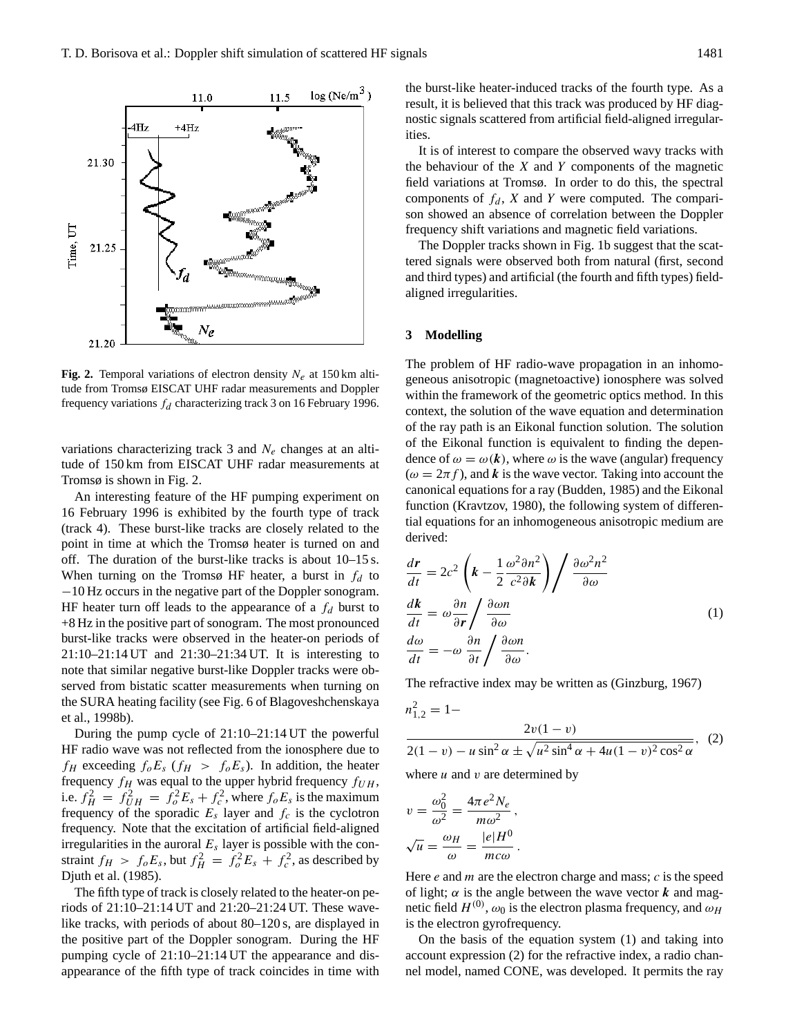

**Fig. 2.** Temporal variations of electron density  $N_e$  at 150 km altitude from Tromsø EISCAT UHF radar measurements and Doppler frequency variations  $f_d$  characterizing track 3 on 16 February 1996.

variations characterizing track 3 and  $N_e$  changes at an altitude of 150 km from EISCAT UHF radar measurements at Tromsø is shown in Fig. 2.

An interesting feature of the HF pumping experiment on 16 February 1996 is exhibited by the fourth type of track (track 4). These burst-like tracks are closely related to the point in time at which the Tromsø heater is turned on and off. The duration of the burst-like tracks is about 10–15 s. When turning on the Tromsø HF heater, a burst in  $f_d$  to −10 Hz occurs in the negative part of the Doppler sonogram. HF heater turn off leads to the appearance of a  $f_d$  burst to +8 Hz in the positive part of sonogram. The most pronounced burst-like tracks were observed in the heater-on periods of 21:10–21:14 UT and 21:30–21:34 UT. It is interesting to note that similar negative burst-like Doppler tracks were observed from bistatic scatter measurements when turning on the SURA heating facility (see Fig. 6 of Blagoveshchenskaya et al., 1998b).

During the pump cycle of 21:10–21:14 UT the powerful HF radio wave was not reflected from the ionosphere due to  $f_H$  exceeding  $f_oE_s$  ( $f_H > f_oE_s$ ). In addition, the heater frequency  $f_H$  was equal to the upper hybrid frequency  $f_{UH}$ , i.e.  $f_H^2 = f_U^2 H = f_o^2 E_s + f_c^2$ , where  $f_o E_s$  is the maximum frequency of the sporadic  $E_s$  layer and  $f_c$  is the cyclotron frequency. Note that the excitation of artificial field-aligned irregularities in the auroral  $E_s$  layer is possible with the constraint  $f_H > f_o E_s$ , but  $f_H^2 = f_o^2 E_s + f_c^2$ , as described by Djuth et al. (1985).

The fifth type of track is closely related to the heater-on periods of 21:10–21:14 UT and 21:20–21:24 UT. These wavelike tracks, with periods of about 80–120 s, are displayed in the positive part of the Doppler sonogram. During the HF pumping cycle of 21:10–21:14 UT the appearance and disappearance of the fifth type of track coincides in time with the burst-like heater-induced tracks of the fourth type. As a result, it is believed that this track was produced by HF diagnostic signals scattered from artificial field-aligned irregularities.

It is of interest to compare the observed wavy tracks with the behaviour of the  $X$  and  $Y$  components of the magnetic field variations at Tromsø. In order to do this, the spectral components of  $f_d$ , X and Y were computed. The comparison showed an absence of correlation between the Doppler frequency shift variations and magnetic field variations.

The Doppler tracks shown in Fig. 1b suggest that the scattered signals were observed both from natural (first, second and third types) and artificial (the fourth and fifth types) fieldaligned irregularities.

#### **3 Modelling**

The problem of HF radio-wave propagation in an inhomogeneous anisotropic (magnetoactive) ionosphere was solved within the framework of the geometric optics method. In this context, the solution of the wave equation and determination of the ray path is an Eikonal function solution. The solution of the Eikonal function is equivalent to finding the dependence of  $\omega = \omega(k)$ , where  $\omega$  is the wave (angular) frequency  $(\omega = 2\pi f)$ , and k is the wave vector. Taking into account the canonical equations for a ray (Budden, 1985) and the Eikonal function (Kravtzov, 1980), the following system of differential equations for an inhomogeneous anisotropic medium are derived:

$$
\frac{d\mathbf{r}}{dt} = 2c^2 \left( \mathbf{k} - \frac{1}{2} \frac{\omega^2 \partial n^2}{c^2 \partial \mathbf{k}} \right) / \frac{\partial \omega^2 n^2}{\partial \omega}
$$
\n
$$
\frac{d\mathbf{k}}{dt} = \omega \frac{\partial n}{\partial \mathbf{r}} / \frac{\partial \omega n}{\partial \omega}
$$
\n
$$
\frac{d\omega}{dt} = -\omega \frac{\partial n}{\partial t} / \frac{\partial \omega n}{\partial \omega}.
$$
\n(1)

The refractive index may be written as (Ginzburg, 1967)

$$
n_{1,2}^{2} = 1 - \frac{2v(1-v)}{2(1-v) - u\sin^{2}\alpha \pm \sqrt{u^{2}\sin^{4}\alpha + 4u(1-v)^{2}\cos^{2}\alpha}}, \quad (2)
$$

where  $u$  and  $v$  are determined by

$$
v = \frac{\omega_0^2}{\omega^2} = \frac{4\pi e^2 N_e}{m\omega^2},
$$
  

$$
\sqrt{u} = \frac{\omega_H}{\omega} = \frac{|e|H^0}{mc\omega}.
$$

Here  $e$  and  $m$  are the electron charge and mass;  $c$  is the speed of light;  $\alpha$  is the angle between the wave vector k and magnetic field  $H^{(0)}$ ,  $\omega_0$  is the electron plasma frequency, and  $\omega_H$ is the electron gyrofrequency.

On the basis of the equation system (1) and taking into account expression (2) for the refractive index, a radio channel model, named CONE, was developed. It permits the ray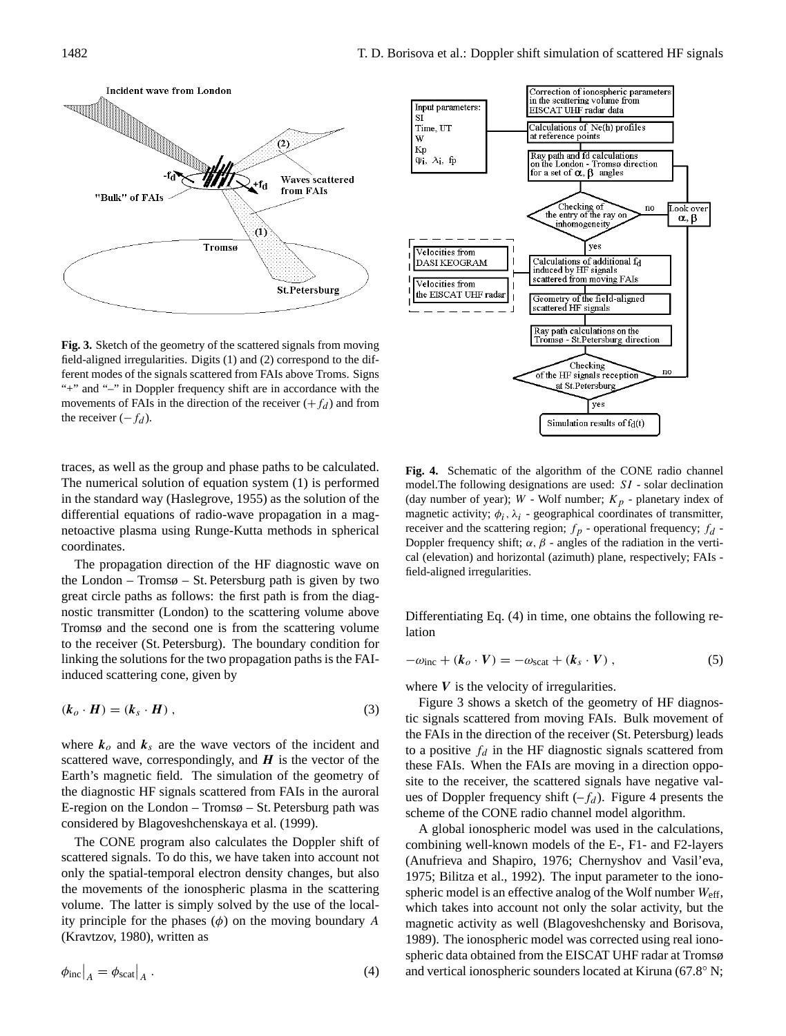

**Fig. 3.** Sketch of the geometry of the scattered signals from moving field-aligned irregularities. Digits (1) and (2) correspond to the different modes of the signals scattered from FAIs above Troms. Signs "+" and "–" in Doppler frequency shift are in accordance with the movements of FAIs in the direction of the receiver  $(+f_d)$  and from the receiver  $(-f_d)$ .

traces, as well as the group and phase paths to be calculated. The numerical solution of equation system (1) is performed in the standard way (Haslegrove, 1955) as the solution of the differential equations of radio-wave propagation in a magnetoactive plasma using Runge-Kutta methods in spherical coordinates.

The propagation direction of the HF diagnostic wave on the London – Tromsø – St. Petersburg path is given by two great circle paths as follows: the first path is from the diagnostic transmitter (London) to the scattering volume above Tromsø and the second one is from the scattering volume to the receiver (St. Petersburg). The boundary condition for linking the solutions for the two propagation paths is the FAIinduced scattering cone, given by

$$
(\boldsymbol{k}_o \cdot \boldsymbol{H}) = (\boldsymbol{k}_s \cdot \boldsymbol{H})\,,\tag{3}
$$

where  $k_o$  and  $k_s$  are the wave vectors of the incident and scattered wave, correspondingly, and  $H$  is the vector of the Earth's magnetic field. The simulation of the geometry of the diagnostic HF signals scattered from FAIs in the auroral E-region on the London – Tromsø – St. Petersburg path was considered by Blagoveshchenskaya et al. (1999).

The CONE program also calculates the Doppler shift of scattered signals. To do this, we have taken into account not only the spatial-temporal electron density changes, but also the movements of the ionospheric plasma in the scattering volume. The latter is simply solved by the use of the locality principle for the phases  $(\phi)$  on the moving boundary A (Kravtzov, 1980), written as





**Fig. 4.** Schematic of the algorithm of the CONE radio channel model.The following designations are used: SI - solar declination (day number of year);  $W$  - Wolf number;  $K_p$  - planetary index of magnetic activity;  $\phi_i$ ,  $\lambda_i$  - geographical coordinates of transmitter, receiver and the scattering region;  $f_p$  - operational frequency;  $f_d$  -Doppler frequency shift;  $\alpha$ ,  $\beta$  - angles of the radiation in the vertical (elevation) and horizontal (azimuth) plane, respectively; FAIs field-aligned irregularities.

Differentiating Eq. (4) in time, one obtains the following relation

$$
-\omega_{\rm inc} + (\boldsymbol{k}_o \cdot \boldsymbol{V}) = -\omega_{\rm scat} + (\boldsymbol{k}_s \cdot \boldsymbol{V})\,,\tag{5}
$$

where  $V$  is the velocity of irregularities.

Figure 3 shows a sketch of the geometry of HF diagnostic signals scattered from moving FAIs. Bulk movement of the FAIs in the direction of the receiver (St. Petersburg) leads to a positive  $f_d$  in the HF diagnostic signals scattered from these FAIs. When the FAIs are moving in a direction opposite to the receiver, the scattered signals have negative values of Doppler frequency shift  $(-f_d)$ . Figure 4 presents the scheme of the CONE radio channel model algorithm.

A global ionospheric model was used in the calculations, combining well-known models of the E-, F1- and F2-layers (Anufrieva and Shapiro, 1976; Chernyshov and Vasil'eva, 1975; Bilitza et al., 1992). The input parameter to the ionospheric model is an effective analog of the Wolf number  $W_{\text{eff}}$ , which takes into account not only the solar activity, but the magnetic activity as well (Blagoveshchensky and Borisova, 1989). The ionospheric model was corrected using real ionospheric data obtained from the EISCAT UHF radar at Tromsø and vertical ionospheric sounders located at Kiruna (67.8◦ N;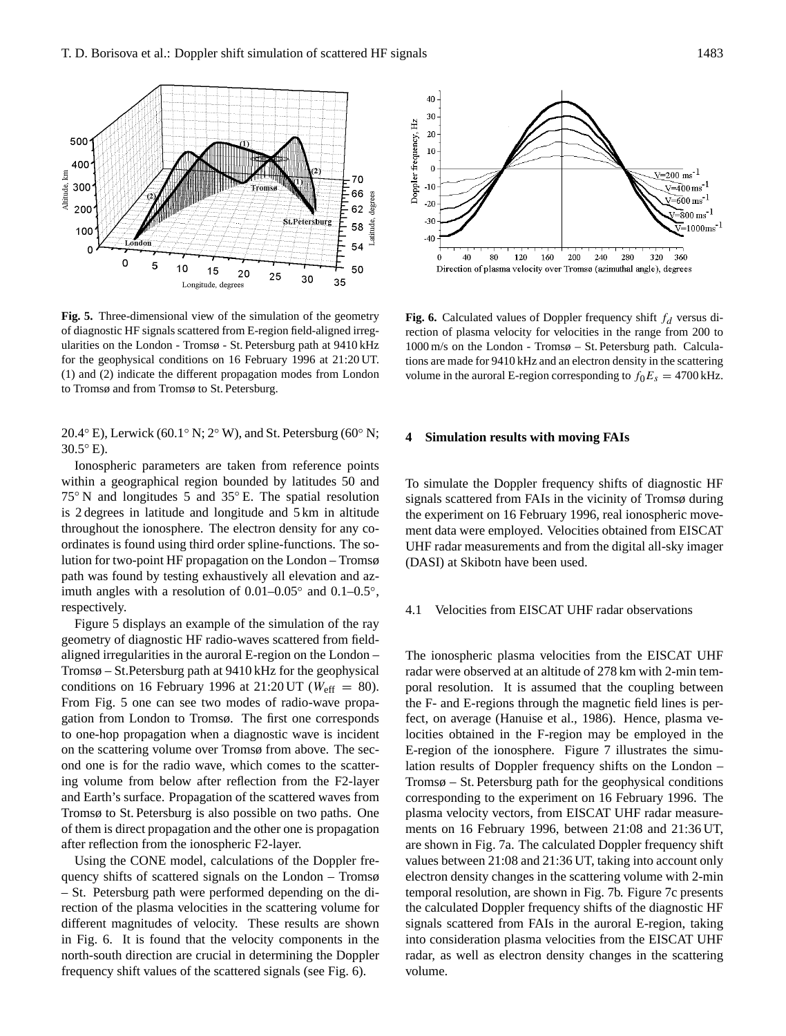

**Fig. 5.** Three-dimensional view of the simulation of the geometry of diagnostic HF signals scattered from E-region field-aligned irregularities on the London - Tromsø - St. Petersburg path at 9410 kHz for the geophysical conditions on 16 February 1996 at 21:20 UT. (1) and (2) indicate the different propagation modes from London to Tromsø and from Tromsø to St. Petersburg.

20.4 $\degree$  E), Lerwick (60.1 $\degree$  N; 2 $\degree$  W), and St. Petersburg (60 $\degree$  N; 30.5◦ E).

Ionospheric parameters are taken from reference points within a geographical region bounded by latitudes 50 and 75◦ N and longitudes 5 and 35◦ E. The spatial resolution is 2 degrees in latitude and longitude and 5 km in altitude throughout the ionosphere. The electron density for any coordinates is found using third order spline-functions. The solution for two-point HF propagation on the London – Tromsø path was found by testing exhaustively all elevation and azimuth angles with a resolution of  $0.01-0.05°$  and  $0.1-0.5°$ , respectively.

Figure 5 displays an example of the simulation of the ray geometry of diagnostic HF radio-waves scattered from fieldaligned irregularities in the auroral E-region on the London – Tromsø – St.Petersburg path at 9410 kHz for the geophysical conditions on 16 February 1996 at 21:20 UT ( $W_{\text{eff}} = 80$ ). From Fig. 5 one can see two modes of radio-wave propagation from London to Tromsø. The first one corresponds to one-hop propagation when a diagnostic wave is incident on the scattering volume over Tromsø from above. The second one is for the radio wave, which comes to the scattering volume from below after reflection from the F2-layer and Earth's surface. Propagation of the scattered waves from Tromsø to St. Petersburg is also possible on two paths. One of them is direct propagation and the other one is propagation after reflection from the ionospheric F2-layer.

Using the CONE model, calculations of the Doppler frequency shifts of scattered signals on the London – Tromsø – St. Petersburg path were performed depending on the direction of the plasma velocities in the scattering volume for different magnitudes of velocity. These results are shown in Fig. 6. It is found that the velocity components in the north-south direction are crucial in determining the Doppler frequency shift values of the scattered signals (see Fig. 6).



Fig. 6. Calculated values of Doppler frequency shift  $f_d$  versus direction of plasma velocity for velocities in the range from 200 to 1000 m/s on the London - Tromsø – St. Petersburg path. Calculations are made for 9410 kHz and an electron density in the scattering volume in the auroral E-region corresponding to  $f_0E_s = 4700 \text{ kHz}$ .

### **4 Simulation results with moving FAIs**

To simulate the Doppler frequency shifts of diagnostic HF signals scattered from FAIs in the vicinity of Tromsø during the experiment on 16 February 1996, real ionospheric movement data were employed. Velocities obtained from EISCAT UHF radar measurements and from the digital all-sky imager (DASI) at Skibotn have been used.

## 4.1 Velocities from EISCAT UHF radar observations

The ionospheric plasma velocities from the EISCAT UHF radar were observed at an altitude of 278 km with 2-min temporal resolution. It is assumed that the coupling between the F- and E-regions through the magnetic field lines is perfect, on average (Hanuise et al., 1986). Hence, plasma velocities obtained in the F-region may be employed in the E-region of the ionosphere. Figure 7 illustrates the simulation results of Doppler frequency shifts on the London – Tromsø – St. Petersburg path for the geophysical conditions corresponding to the experiment on 16 February 1996. The plasma velocity vectors, from EISCAT UHF radar measurements on 16 February 1996, between 21:08 and 21:36 UT, are shown in Fig. 7a. The calculated Doppler frequency shift values between 21:08 and 21:36 UT, taking into account only electron density changes in the scattering volume with 2-min temporal resolution, are shown in Fig. 7b. Figure 7c presents the calculated Doppler frequency shifts of the diagnostic HF signals scattered from FAIs in the auroral E-region, taking into consideration plasma velocities from the EISCAT UHF radar, as well as electron density changes in the scattering volume.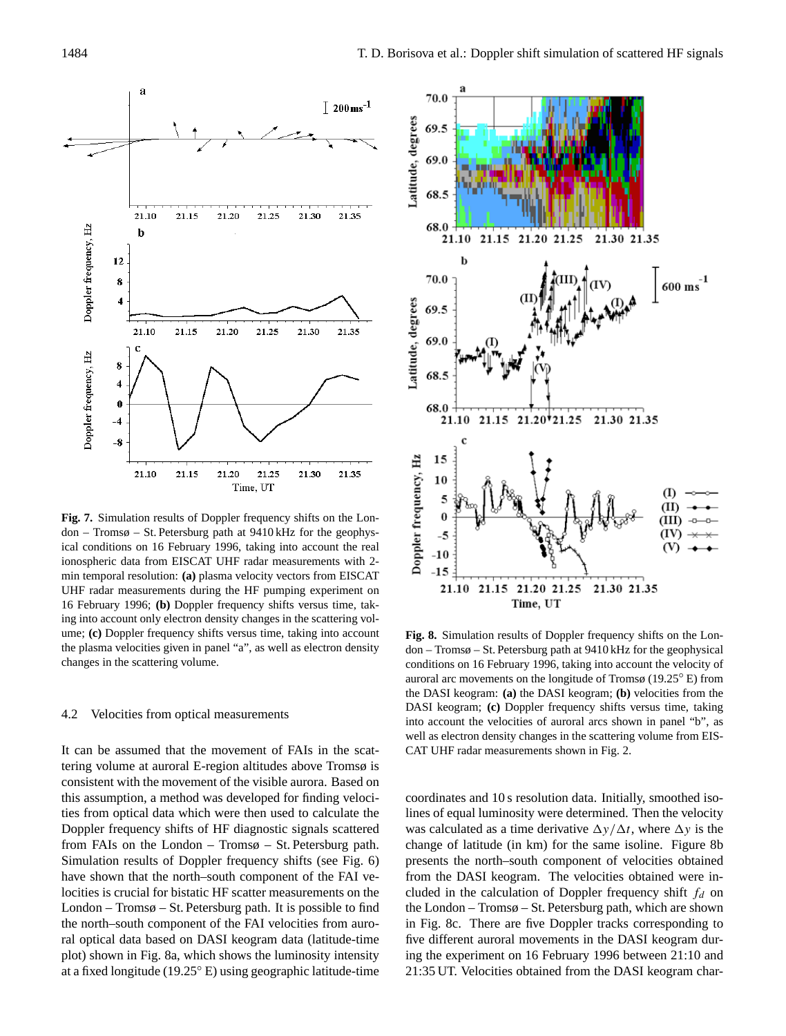

**Fig. 7.** Simulation results of Doppler frequency shifts on the London – Tromsø – St. Petersburg path at 9410 kHz for the geophysical conditions on 16 February 1996, taking into account the real ionospheric data from EISCAT UHF radar measurements with 2 min temporal resolution: **(a)** plasma velocity vectors from EISCAT UHF radar measurements during the HF pumping experiment on 16 February 1996; **(b)** Doppler frequency shifts versus time, taking into account only electron density changes in the scattering volume; **(c)** Doppler frequency shifts versus time, taking into account the plasma velocities given in panel "a", as well as electron density changes in the scattering volume.

#### 4.2 Velocities from optical measurements

It can be assumed that the movement of FAIs in the scattering volume at auroral E-region altitudes above Tromsø is consistent with the movement of the visible aurora. Based on this assumption, a method was developed for finding velocities from optical data which were then used to calculate the Doppler frequency shifts of HF diagnostic signals scattered from FAIs on the London – Tromsø – St. Petersburg path. Simulation results of Doppler frequency shifts (see Fig. 6) have shown that the north–south component of the FAI velocities is crucial for bistatic HF scatter measurements on the London – Tromsø – St. Petersburg path. It is possible to find the north–south component of the FAI velocities from auroral optical data based on DASI keogram data (latitude-time plot) shown in Fig. 8a, which shows the luminosity intensity at a fixed longitude (19.25◦ E) using geographic latitude-time



**Fig. 8.** Simulation results of Doppler frequency shifts on the London – Tromsø – St. Petersburg path at 9410 kHz for the geophysical conditions on 16 February 1996, taking into account the velocity of auroral arc movements on the longitude of Tromsø (19.25◦ E) from the DASI keogram: **(a)** the DASI keogram; **(b)** velocities from the DASI keogram; **(c)** Doppler frequency shifts versus time, taking into account the velocities of auroral arcs shown in panel "b", as well as electron density changes in the scattering volume from EIS-CAT UHF radar measurements shown in Fig. 2.

coordinates and 10 s resolution data. Initially, smoothed isolines of equal luminosity were determined. Then the velocity was calculated as a time derivative  $\Delta y/\Delta t$ , where  $\Delta y$  is the change of latitude (in km) for the same isoline. Figure 8b presents the north–south component of velocities obtained from the DASI keogram. The velocities obtained were included in the calculation of Doppler frequency shift  $f_d$  on the London – Tromsø – St. Petersburg path, which are shown in Fig. 8c. There are five Doppler tracks corresponding to five different auroral movements in the DASI keogram during the experiment on 16 February 1996 between 21:10 and 21:35 UT. Velocities obtained from the DASI keogram char-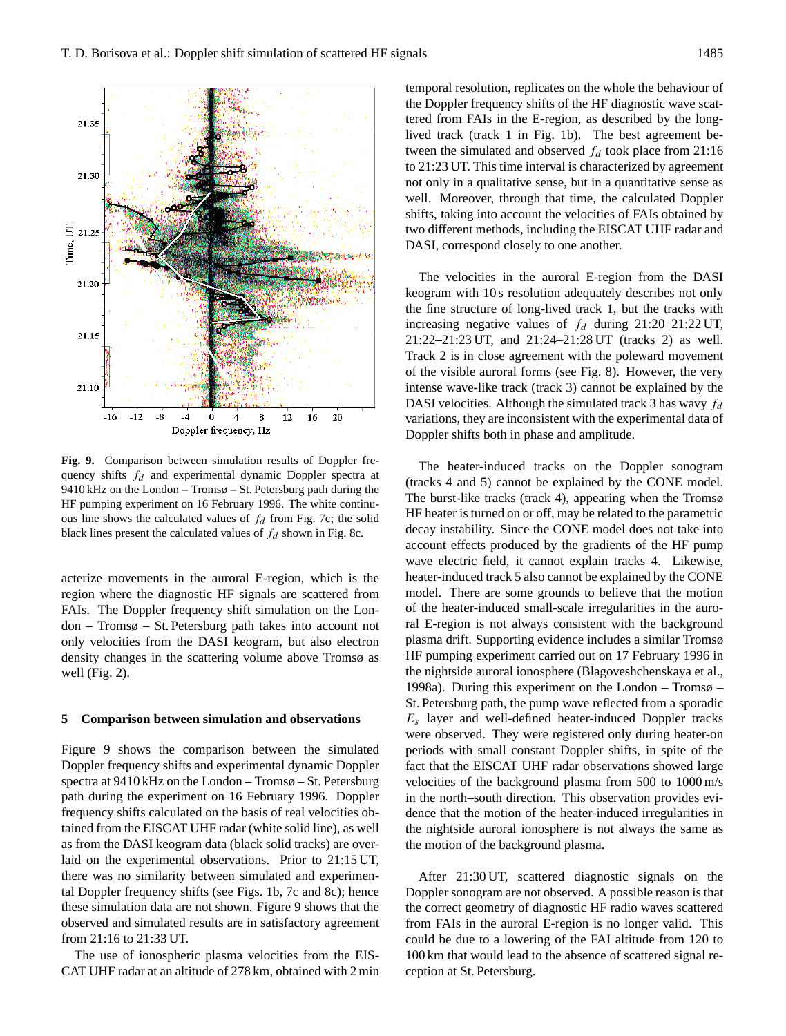

**Fig. 9.** Comparison between simulation results of Doppler frequency shifts  $f_d$  and experimental dynamic Doppler spectra at 9410 kHz on the London – Tromsø – St. Petersburg path during the HF pumping experiment on 16 February 1996. The white continuous line shows the calculated values of  $f_d$  from Fig. 7c; the solid black lines present the calculated values of  $f_d$  shown in Fig. 8c.

acterize movements in the auroral E-region, which is the region where the diagnostic HF signals are scattered from FAIs. The Doppler frequency shift simulation on the London – Tromsø – St. Petersburg path takes into account not only velocities from the DASI keogram, but also electron density changes in the scattering volume above Tromsø as well (Fig. 2).

#### **5 Comparison between simulation and observations**

Figure 9 shows the comparison between the simulated Doppler frequency shifts and experimental dynamic Doppler spectra at 9410 kHz on the London – Tromsø – St. Petersburg path during the experiment on 16 February 1996. Doppler frequency shifts calculated on the basis of real velocities obtained from the EISCAT UHF radar (white solid line), as well as from the DASI keogram data (black solid tracks) are overlaid on the experimental observations. Prior to 21:15 UT, there was no similarity between simulated and experimental Doppler frequency shifts (see Figs. 1b, 7c and 8c); hence these simulation data are not shown. Figure 9 shows that the observed and simulated results are in satisfactory agreement from 21:16 to 21:33 UT.

The use of ionospheric plasma velocities from the EIS-CAT UHF radar at an altitude of 278 km, obtained with 2 min temporal resolution, replicates on the whole the behaviour of the Doppler frequency shifts of the HF diagnostic wave scattered from FAIs in the E-region, as described by the longlived track (track 1 in Fig. 1b). The best agreement between the simulated and observed  $f_d$  took place from 21:16 to 21:23 UT. This time interval is characterized by agreement not only in a qualitative sense, but in a quantitative sense as well. Moreover, through that time, the calculated Doppler shifts, taking into account the velocities of FAIs obtained by two different methods, including the EISCAT UHF radar and DASI, correspond closely to one another.

The velocities in the auroral E-region from the DASI keogram with 10 s resolution adequately describes not only the fine structure of long-lived track 1, but the tracks with increasing negative values of  $f_d$  during 21:20–21:22 UT, 21:22–21:23 UT, and 21:24–21:28 UT (tracks 2) as well. Track 2 is in close agreement with the poleward movement of the visible auroral forms (see Fig. 8). However, the very intense wave-like track (track 3) cannot be explained by the DASI velocities. Although the simulated track 3 has wavy  $f_d$ variations, they are inconsistent with the experimental data of Doppler shifts both in phase and amplitude.

The heater-induced tracks on the Doppler sonogram (tracks 4 and 5) cannot be explained by the CONE model. The burst-like tracks (track 4), appearing when the Tromsø HF heater is turned on or off, may be related to the parametric decay instability. Since the CONE model does not take into account effects produced by the gradients of the HF pump wave electric field, it cannot explain tracks 4. Likewise, heater-induced track 5 also cannot be explained by the CONE model. There are some grounds to believe that the motion of the heater-induced small-scale irregularities in the auroral E-region is not always consistent with the background plasma drift. Supporting evidence includes a similar Tromsø HF pumping experiment carried out on 17 February 1996 in the nightside auroral ionosphere (Blagoveshchenskaya et al., 1998a). During this experiment on the London – Tromsø – St. Petersburg path, the pump wave reflected from a sporadic  $E_s$  layer and well-defined heater-induced Doppler tracks were observed. They were registered only during heater-on periods with small constant Doppler shifts, in spite of the fact that the EISCAT UHF radar observations showed large velocities of the background plasma from 500 to 1000 m/s in the north–south direction. This observation provides evidence that the motion of the heater-induced irregularities in the nightside auroral ionosphere is not always the same as the motion of the background plasma.

After 21:30 UT, scattered diagnostic signals on the Doppler sonogram are not observed. A possible reason is that the correct geometry of diagnostic HF radio waves scattered from FAIs in the auroral E-region is no longer valid. This could be due to a lowering of the FAI altitude from 120 to 100 km that would lead to the absence of scattered signal reception at St. Petersburg.